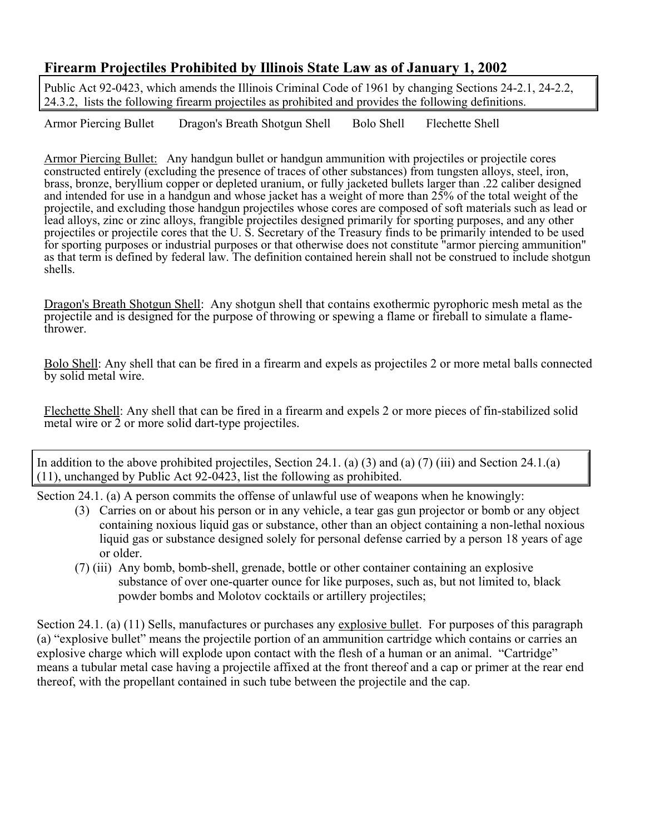## **Firearm Projectiles Prohibited by Illinois State Law as of January 1, 2002**

Public Act 92-0423, which amends the Illinois Criminal Code of 1961 by changing Sections 24-2.1, 24-2.2, 24.3.2, lists the following firearm projectiles as prohibited and provides the following definitions.

Armor Piercing Bullet Dragon's Breath Shotgun Shell Bolo Shell Flechette Shell

Armor Piercing Bullet: Any handgun bullet or handgun ammunition with projectiles or projectile cores constructed entirely (excluding the presence of traces of other substances) from tungsten alloys, steel, iron, brass, bronze, beryllium copper or depleted uranium, or fully jacketed bullets larger than .22 caliber designed and intended for use in a handgun and whose jacket has a weight of more than 25% of the total weight of the projectile, and excluding those handgun projectiles whose cores are composed of soft materials such as lead or lead alloys, zinc or zinc alloys, frangible projectiles designed primarily for sporting purposes, and any other projectiles or projectile cores that the U. S. Secretary of the Treasury finds to be primarily intended to be used for sporting purposes or industrial purposes or that otherwise does not constitute "armor piercing ammunition" as that term is defined by federal law. The definition contained herein shall not be construed to include shotgun shells.

Dragon's Breath Shotgun Shell: Any shotgun shell that contains exothermic pyrophoric mesh metal as the projectile and is designed for the purpose of throwing or spewing a flame or fireball to simulate a flamethrower.

Bolo Shell: Any shell that can be fired in a firearm and expels as projectiles 2 or more metal balls connected by solid metal wire.

Flechette Shell: Any shell that can be fired in a firearm and expels 2 or more pieces of fin-stabilized solid metal wire or 2 or more solid dart-type projectiles.

In addition to the above prohibited projectiles, Section 24.1. (a) (3) and (a) (7) (iii) and Section 24.1.(a) (11), unchanged by Public Act 92-0423, list the following as prohibited.

Section 24.1. (a) A person commits the offense of unlawful use of weapons when he knowingly:

- (3) Carries on or about his person or in any vehicle, a tear gas gun projector or bomb or any object containing noxious liquid gas or substance, other than an object containing a non-lethal noxious liquid gas or substance designed solely for personal defense carried by a person 18 years of age or older.
- (7) (iii) Any bomb, bomb-shell, grenade, bottle or other container containing an explosive substance of over one-quarter ounce for like purposes, such as, but not limited to, black powder bombs and Molotov cocktails or artillery projectiles;

Section 24.1. (a) (11) Sells, manufactures or purchases any explosive bullet. For purposes of this paragraph (a) "explosive bullet" means the projectile portion of an ammunition cartridge which contains or carries an explosive charge which will explode upon contact with the flesh of a human or an animal. "Cartridge" means a tubular metal case having a projectile affixed at the front thereof and a cap or primer at the rear end thereof, with the propellant contained in such tube between the projectile and the cap.